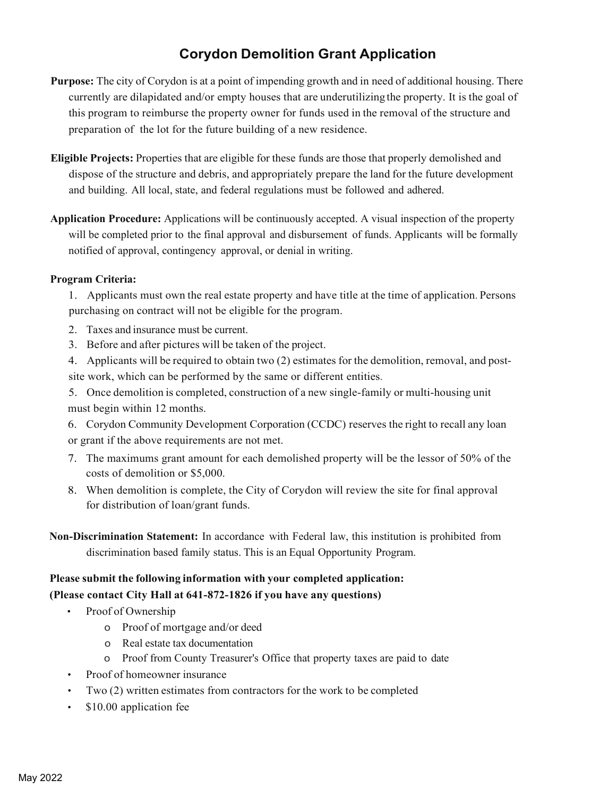# **Corydon Demolition Grant Application**

- **Purpose:** The city of Corydon is at a point of impending growth and in need of additional housing. There currently are dilapidated and/or empty houses that are underutilizing the property. It is the goal of this program to reimburse the property owner for funds used in the removal of the structure and preparation of the lot for the future building of a new residence.
- **Eligible Projects:** Properties that are eligible for these funds are those that properly demolished and dispose of the structure and debris, and appropriately prepare the land for the future development and building. All local, state, and federal regulations must be followed and adhered.
- **Application Procedure:** Applications will be continuously accepted. A visual inspection of the property will be completed prior to the final approval and disbursement of funds. Applicants will be formally notified of approval, contingency approval, or denial in writing.

### **Program Criteria:**

1. Applicants must own the real estate property and have title at the time of application. Persons purchasing on contract will not be eligible for the program.

- 2. Taxes and insurance must be current.
- 3. Before and after pictures will be taken of the project.
- 4. Applicants will be required to obtain two (2) estimates for the demolition, removal, and postsite work, which can be performed by the same or different entities.
- 5. Once demolition is completed, construction of a new single-family or multi-housing unit must begin within 12 months.
- 6. Corydon Community Development Corporation (CCDC) reserves the right to recall any loan or grant if the above requirements are not met.
- 7. The maximums grant amount for each demolished property will be the lessor of 50% of the costs of demolition or \$5,000.
- 8. When demolition is complete, the City of Corydon will review the site for final approval for distribution of loan/grant funds.
- **Non-Discrimination Statement:** In accordance with Federal law, this institution is prohibited from discrimination based family status. This is an Equal Opportunity Program.

### **Please submit the following information with your completed application: (Please contact City Hall at 641-872-1826 if you have any questions)**

- Proof of Ownership
	- o Proof of mortgage and/or deed
	- o Real estate tax documentation
	- o Proof from County Treasurer's Office that property taxes are paid to date
- Proof of homeowner insurance
- Two (2) written estimates from contractors for the work to be completed
- \$10.00 application fee